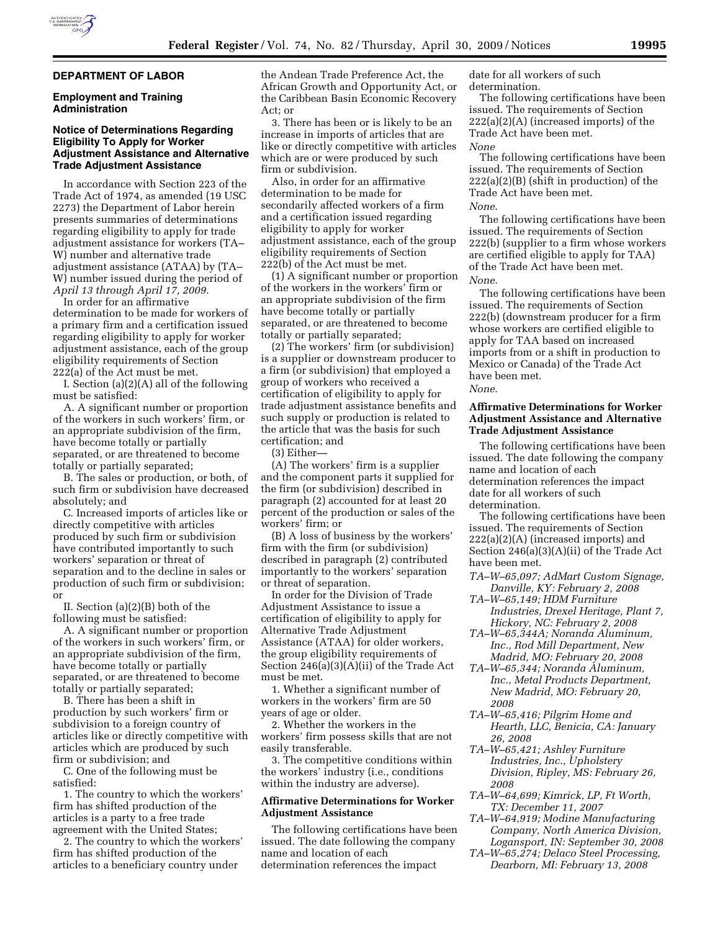### **DEPARTMENT OF LABOR**

#### **Employment and Training Administration**

### **Notice of Determinations Regarding Eligibility To Apply for Worker Adjustment Assistance and Alternative Trade Adjustment Assistance**

In accordance with Section 223 of the Trade Act of 1974, as amended (19 USC 2273) the Department of Labor herein presents summaries of determinations regarding eligibility to apply for trade adjustment assistance for workers (TA– W) number and alternative trade adjustment assistance (ATAA) by (TA– W) number issued during the period of *April 13 through April 17, 2009.* 

In order for an affirmative determination to be made for workers of a primary firm and a certification issued regarding eligibility to apply for worker adjustment assistance, each of the group eligibility requirements of Section 222(a) of the Act must be met.

I. Section (a)(2)(A) all of the following must be satisfied:

A. A significant number or proportion of the workers in such workers' firm, or an appropriate subdivision of the firm, have become totally or partially separated, or are threatened to become totally or partially separated;

B. The sales or production, or both, of such firm or subdivision have decreased absolutely; and

C. Increased imports of articles like or directly competitive with articles produced by such firm or subdivision have contributed importantly to such workers' separation or threat of separation and to the decline in sales or production of such firm or subdivision; or

II. Section (a)(2)(B) both of the following must be satisfied:

A. A significant number or proportion of the workers in such workers' firm, or an appropriate subdivision of the firm, have become totally or partially separated, or are threatened to become totally or partially separated;

B. There has been a shift in production by such workers' firm or subdivision to a foreign country of articles like or directly competitive with articles which are produced by such firm or subdivision; and

C. One of the following must be satisfied:

1. The country to which the workers' firm has shifted production of the articles is a party to a free trade agreement with the United States;

2. The country to which the workers' firm has shifted production of the articles to a beneficiary country under

the Andean Trade Preference Act, the African Growth and Opportunity Act, or the Caribbean Basin Economic Recovery Act; or

3. There has been or is likely to be an increase in imports of articles that are like or directly competitive with articles which are or were produced by such firm or subdivision.

Also, in order for an affirmative determination to be made for secondarily affected workers of a firm and a certification issued regarding eligibility to apply for worker adjustment assistance, each of the group eligibility requirements of Section 222(b) of the Act must be met.

(1) A significant number or proportion of the workers in the workers' firm or an appropriate subdivision of the firm have become totally or partially separated, or are threatened to become totally or partially separated;

(2) The workers' firm (or subdivision) is a supplier or downstream producer to a firm (or subdivision) that employed a group of workers who received a certification of eligibility to apply for trade adjustment assistance benefits and such supply or production is related to the article that was the basis for such certification; and

(3) Either—

(A) The workers' firm is a supplier and the component parts it supplied for the firm (or subdivision) described in paragraph (2) accounted for at least 20 percent of the production or sales of the workers' firm; or

(B) A loss of business by the workers' firm with the firm (or subdivision) described in paragraph (2) contributed importantly to the workers' separation or threat of separation.

In order for the Division of Trade Adjustment Assistance to issue a certification of eligibility to apply for Alternative Trade Adjustment Assistance (ATAA) for older workers, the group eligibility requirements of Section 246(a)(3)(A)(ii) of the Trade Act must be met.

1. Whether a significant number of workers in the workers' firm are 50 years of age or older.

2. Whether the workers in the workers' firm possess skills that are not easily transferable.

3. The competitive conditions within the workers' industry (i.e., conditions within the industry are adverse).

# **Affirmative Determinations for Worker Adjustment Assistance**

The following certifications have been issued. The date following the company name and location of each determination references the impact

date for all workers of such determination.

The following certifications have been issued. The requirements of Section 222(a)(2)(A) (increased imports) of the Trade Act have been met. *None* 

The following certifications have been issued. The requirements of Section 222(a)(2)(B) (shift in production) of the Trade Act have been met. *None*.

The following certifications have been issued. The requirements of Section 222(b) (supplier to a firm whose workers are certified eligible to apply for TAA) of the Trade Act have been met. *None*.

The following certifications have been issued. The requirements of Section 222(b) (downstream producer for a firm whose workers are certified eligible to apply for TAA based on increased imports from or a shift in production to Mexico or Canada) of the Trade Act have been met.

*None*.

## **Affirmative Determinations for Worker Adjustment Assistance and Alternative Trade Adjustment Assistance**

The following certifications have been issued. The date following the company name and location of each determination references the impact date for all workers of such determination.

The following certifications have been issued. The requirements of Section 222(a)(2)(A) (increased imports) and Section 246(a)(3)(A)(ii) of the Trade Act have been met.

- *TA–W–65,097; AdMart Custom Signage, Danville, KY: February 2, 2008*
- *TA–W–65,149; HDM Furniture Industries, Drexel Heritage, Plant 7, Hickory, NC: February 2, 2008*
- *TA–W–65,344A; Noranda Aluminum, Inc., Rod Mill Department, New Madrid, MO: February 20, 2008*
- *TA–W–65,344; Noranda Aluminum, Inc., Metal Products Department, New Madrid, MO: February 20, 2008*
- *TA–W–65,416; Pilgrim Home and Hearth, LLC, Benicia, CA: January 26, 2008*
- *TA–W–65,421; Ashley Furniture Industries, Inc., Upholstery Division, Ripley, MS: February 26, 2008*
- *TA–W–64,699; Kimrick, LP, Ft Worth, TX: December 11, 2007*
- *TA–W–64,919; Modine Manufacturing Company, North America Division, Logansport, IN: September 30, 2008*
- *TA–W–65,274; Delaco Steel Processing, Dearborn, MI: February 13, 2008*